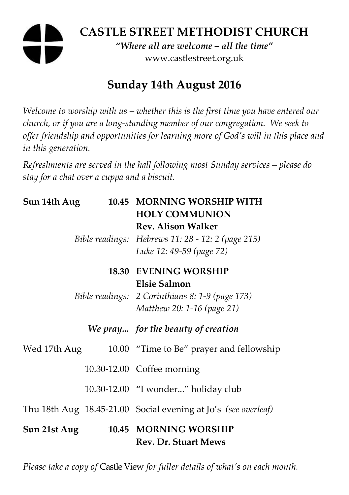# **CASTLE STREET METHODIST CHURCH**

*"Where all are welcome – all the time"*  www.castlestreet.org.uk

## **Sunday 14th August 2016**

*Welcome to worship with us – whether this is the first time you have entered our church, or if you are a long-standing member of our congregation. We seek to offer friendship and opportunities for learning more of God's will in this place and in this generation.* 

*Refreshments are served in the hall following most Sunday services – please do stay for a chat over a cuppa and a biscuit.* 

| Sun 14th Aug |  | 10.45 MORNING WORSHIP WITH                                     |
|--------------|--|----------------------------------------------------------------|
|              |  | <b>HOLY COMMUNION</b>                                          |
|              |  | <b>Rev. Alison Walker</b>                                      |
|              |  | Bible readings: Hebrews 11: 28 - 12: 2 (page 215)              |
|              |  | Luke 12: 49-59 (page 72)                                       |
|              |  | <b>18.30 EVENING WORSHIP</b>                                   |
|              |  | <b>Elsie Salmon</b>                                            |
|              |  | Bible readings: 2 Corinthians 8: 1-9 (page 173)                |
|              |  | Matthew 20: 1-16 (page 21)                                     |
|              |  | We pray for the beauty of creation                             |
| Wed 17th Aug |  | 10.00 "Time to Be" prayer and fellowship                       |
|              |  | 10.30-12.00 Coffee morning                                     |
|              |  | 10.30-12.00 "I wonder" holiday club                            |
|              |  | Thu 18th Aug 18.45-21.00 Social evening at Jo's (see overleaf) |
| Sun 21st Aug |  | 10.45 MORNING WORSHIP<br><b>Rev. Dr. Stuart Mews</b>           |

*Please take a copy of* Castle View *for fuller details of what's on each month.*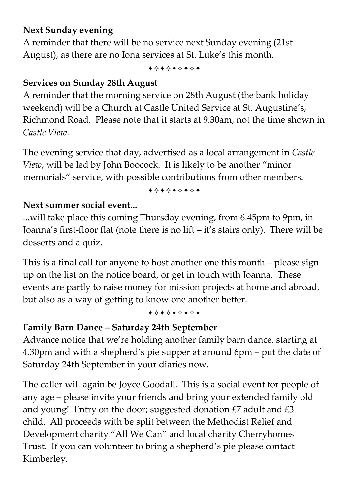## **Next Sunday evening**

A reminder that there will be no service next Sunday evening (21st August), as there are no Iona services at St. Luke's this month.

+\*\*\*\*\*\*\*

## **Services on Sunday 28th August**

A reminder that the morning service on 28th August (the bank holiday weekend) will be a Church at Castle United Service at St. Augustine's, Richmond Road. Please note that it starts at 9.30am, not the time shown in *Castle View*.

The evening service that day, advertised as a local arrangement in *Castle View*, will be led by John Boocock. It is likely to be another "minor memorials" service, with possible contributions from other members.

#### +\*+\*\*\*\*+

## **Next summer social event...**

...will take place this coming Thursday evening, from 6.45pm to 9pm, in Joanna's first-floor flat (note there is no lift – it's stairs only). There will be desserts and a quiz.

This is a final call for anyone to host another one this month – please sign up on the list on the notice board, or get in touch with Joanna. These events are partly to raise money for mission projects at home and abroad, but also as a way of getting to know one another better.

#### +\*+\*\*\*\*\*

## **Family Barn Dance – Saturday 24th September**

Advance notice that we're holding another family barn dance, starting at 4.30pm and with a shepherd's pie supper at around 6pm – put the date of Saturday 24th September in your diaries now.

The caller will again be Joyce Goodall. This is a social event for people of any age – please invite your friends and bring your extended family old and young! Entry on the door; suggested donation  $E$  adult and  $E$ 3 child. All proceeds with be split between the Methodist Relief and Development charity "All We Can" and local charity Cherryhomes Trust. If you can volunteer to bring a shepherd's pie please contact Kimberley.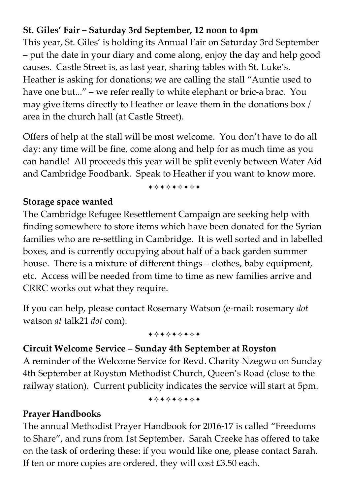## **St. Giles' Fair – Saturday 3rd September, 12 noon to 4pm**

This year, St. Giles' is holding its Annual Fair on Saturday 3rd September – put the date in your diary and come along, enjoy the day and help good causes. Castle Street is, as last year, sharing tables with St. Luke's. Heather is asking for donations; we are calling the stall "Auntie used to have one but..." – we refer really to white elephant or bric-a brac. You may give items directly to Heather or leave them in the donations box / area in the church hall (at Castle Street).

Offers of help at the stall will be most welcome. You don't have to do all day: any time will be fine, come along and help for as much time as you can handle! All proceeds this year will be split evenly between Water Aid and Cambridge Foodbank. Speak to Heather if you want to know more.

+\*\*\*\*\*\*\*

#### **Storage space wanted**

The Cambridge Refugee Resettlement Campaign are seeking help with finding somewhere to store items which have been donated for the Syrian families who are re-settling in Cambridge. It is well sorted and in labelled boxes, and is currently occupying about half of a back garden summer house. There is a mixture of different things – clothes, baby equipment, etc. Access will be needed from time to time as new families arrive and CRRC works out what they require.

If you can help, please contact Rosemary Watson (e-mail: rosemary *dot*  watson *at* talk21 *dot* com).

+\*\*\*\*\*\*\*

#### **Circuit Welcome Service – Sunday 4th September at Royston**

A reminder of the Welcome Service for Revd. Charity Nzegwu on Sunday 4th September at Royston Methodist Church, Queen's Road (close to the railway station). Current publicity indicates the service will start at 5pm.

+\*+\*+\*+\*+

#### **Prayer Handbooks**

The annual Methodist Prayer Handbook for 2016-17 is called "Freedoms to Share", and runs from 1st September. Sarah Creeke has offered to take on the task of ordering these: if you would like one, please contact Sarah. If ten or more copies are ordered, they will cost £3.50 each.